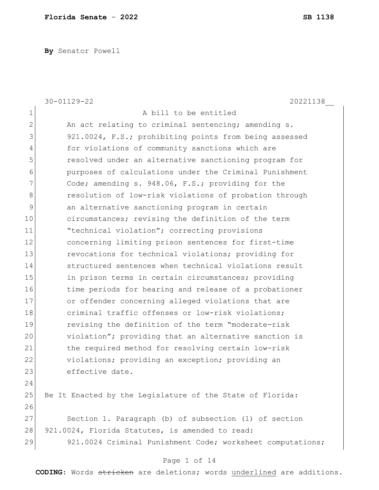**By** Senator Powell

|    | $30 - 01129 - 22$<br>20221138                              |
|----|------------------------------------------------------------|
| 1  | A bill to be entitled                                      |
| 2  | An act relating to criminal sentencing; amending s.        |
| 3  | 921.0024, F.S.; prohibiting points from being assessed     |
| 4  | for violations of community sanctions which are            |
| 5  | resolved under an alternative sanctioning program for      |
| 6  | purposes of calculations under the Criminal Punishment     |
| 7  | Code; amending s. 948.06, F.S.; providing for the          |
| 8  | resolution of low-risk violations of probation through     |
| 9  | an alternative sanctioning program in certain              |
| 10 | circumstances; revising the definition of the term         |
| 11 | "technical violation"; correcting provisions               |
| 12 | concerning limiting prison sentences for first-time        |
| 13 | revocations for technical violations; providing for        |
| 14 | structured sentences when technical violations result      |
| 15 | in prison terms in certain circumstances; providing        |
| 16 | time periods for hearing and release of a probationer      |
| 17 | or offender concerning alleged violations that are         |
| 18 | criminal traffic offenses or low-risk violations;          |
| 19 | revising the definition of the term "moderate-risk         |
| 20 | violation"; providing that an alternative sanction is      |
| 21 | the required method for resolving certain low-risk         |
| 22 | violations; providing an exception; providing an           |
| 23 | effective date.                                            |
| 24 |                                                            |
| 25 | Be It Enacted by the Legislature of the State of Florida:  |
| 26 |                                                            |
| 27 | Section 1. Paragraph (b) of subsection (1) of section      |
| 28 | 921.0024, Florida Statutes, is amended to read:            |
| 29 | 921.0024 Criminal Punishment Code; worksheet computations; |
|    |                                                            |

#### Page 1 of 14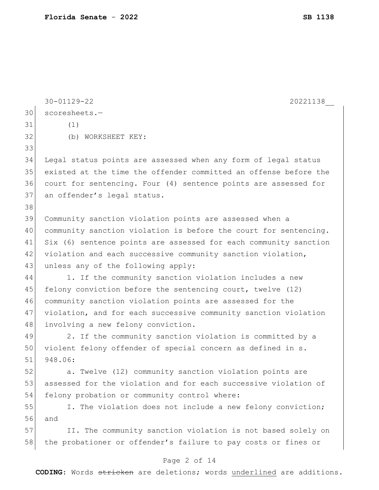|    | $30 - 01129 - 22$<br>20221138                                    |
|----|------------------------------------------------------------------|
| 30 | scoresheets.-                                                    |
| 31 | (1)                                                              |
| 32 | (b) WORKSHEET KEY:                                               |
| 33 |                                                                  |
| 34 | Legal status points are assessed when any form of legal status   |
| 35 | existed at the time the offender committed an offense before the |
| 36 | court for sentencing. Four (4) sentence points are assessed for  |
| 37 | an offender's legal status.                                      |
| 38 |                                                                  |
| 39 | Community sanction violation points are assessed when a          |
| 40 | community sanction violation is before the court for sentencing. |
| 41 | Six (6) sentence points are assessed for each community sanction |
| 42 | violation and each successive community sanction violation,      |
| 43 | unless any of the following apply:                               |
| 44 | 1. If the community sanction violation includes a new            |
| 45 | felony conviction before the sentencing court, twelve (12)       |
| 46 | community sanction violation points are assessed for the         |
| 47 | violation, and for each successive community sanction violation  |
| 48 | involving a new felony conviction.                               |
| 49 | 2. If the community sanction violation is committed by a         |
| 50 | violent felony offender of special concern as defined in s.      |
| 51 | 948.06:                                                          |
| 52 | a. Twelve (12) community sanction violation points are           |
| 53 | assessed for the violation and for each successive violation of  |
| 54 | felony probation or community control where:                     |
| 55 | I. The violation does not include a new felony conviction;       |
| 56 | and                                                              |
| 57 | II. The community sanction violation is not based solely on      |
| 58 | the probationer or offender's failure to pay costs or fines or   |
|    |                                                                  |

# Page 2 of 14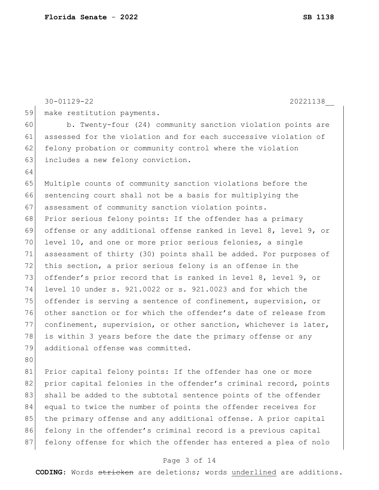30-01129-22 20221138\_\_ 59 make restitution payments. 60 b. Twenty-four (24) community sanction violation points are 61 assessed for the violation and for each successive violation of 62 felony probation or community control where the violation 63 includes a new felony conviction. 64 65 Multiple counts of community sanction violations before the 66 sentencing court shall not be a basis for multiplying the 67 assessment of community sanction violation points. 68 Prior serious felony points: If the offender has a primary 69 offense or any additional offense ranked in level 8, level 9, or 70 level 10, and one or more prior serious felonies, a single 71 assessment of thirty (30) points shall be added. For purposes of 72 this section, a prior serious felony is an offense in the 73 offender's prior record that is ranked in level 8, level 9, or 74 level 10 under s. 921.0022 or s. 921.0023 and for which the 75 offender is serving a sentence of confinement, supervision, or 76 other sanction or for which the offender's date of release from 77 confinement, supervision, or other sanction, whichever is later, 78 is within 3 years before the date the primary offense or any 79 additional offense was committed. 80 81 Prior capital felony points: If the offender has one or more 82 prior capital felonies in the offender's criminal record, points 83 shall be added to the subtotal sentence points of the offender 84 equal to twice the number of points the offender receives for 85 the primary offense and any additional offense. A prior capital 86 felony in the offender's criminal record is a previous capital 87 felony offense for which the offender has entered a plea of nolo

#### Page 3 of 14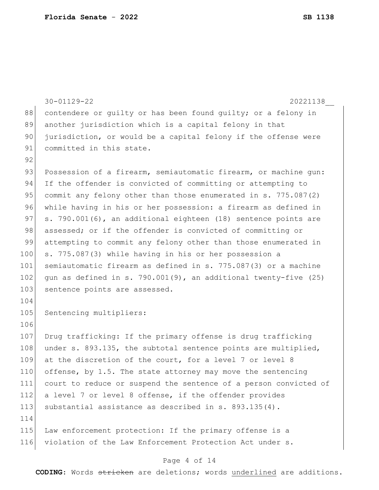|     | $30 - 01129 - 22$<br>20221138                                     |
|-----|-------------------------------------------------------------------|
| 88  | contendere or quilty or has been found quilty; or a felony in     |
| 89  | another jurisdiction which is a capital felony in that            |
| 90  | jurisdiction, or would be a capital felony if the offense were    |
| 91  | committed in this state.                                          |
| 92  |                                                                   |
| 93  | Possession of a firearm, semiautomatic firearm, or machine gun:   |
| 94  | If the offender is convicted of committing or attempting to       |
| 95  | commit any felony other than those enumerated in s. 775.087(2)    |
| 96  | while having in his or her possession: a firearm as defined in    |
| 97  | s. 790.001(6), an additional eighteen (18) sentence points are    |
| 98  | assessed; or if the offender is convicted of committing or        |
| 99  | attempting to commit any felony other than those enumerated in    |
| 100 | s. 775.087(3) while having in his or her possession a             |
| 101 | semiautomatic firearm as defined in s. 775.087(3) or a machine    |
| 102 | gun as defined in s. 790.001(9), an additional twenty-five $(25)$ |
| 103 | sentence points are assessed.                                     |
| 104 |                                                                   |
| 105 | Sentencing multipliers:                                           |
| 106 |                                                                   |
| 107 | Drug trafficking: If the primary offense is drug trafficking      |
| 108 | under s. 893.135, the subtotal sentence points are multiplied,    |
| 109 | at the discretion of the court, for a level 7 or level 8          |
| 110 | offense, by 1.5. The state attorney may move the sentencing       |
| 111 | court to reduce or suspend the sentence of a person convicted of  |
| 112 | a level 7 or level 8 offense, if the offender provides            |
| 113 | substantial assistance as described in s. $893.135(4)$ .          |
| 114 |                                                                   |
| 115 | Law enforcement protection: If the primary offense is a           |
| 116 | violation of the Law Enforcement Protection Act under s.          |
|     |                                                                   |

# Page 4 of 14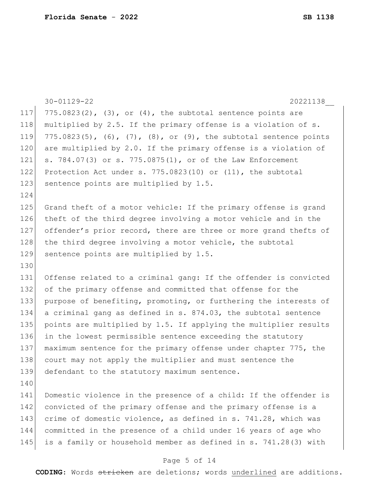|     | $30 - 01129 - 22$<br>20221138                                       |
|-----|---------------------------------------------------------------------|
| 117 | $775.0823(2)$ , $(3)$ , or $(4)$ , the subtotal sentence points are |
| 118 | multiplied by 2.5. If the primary offense is a violation of s.      |
| 119 | 775.0823(5), (6), (7), (8), or (9), the subtotal sentence points    |
| 120 | are multiplied by 2.0. If the primary offense is a violation of     |
| 121 | s. 784.07(3) or s. 775.0875(1), or of the Law Enforcement           |
| 122 | Protection Act under s. 775.0823(10) or (11), the subtotal          |
| 123 | sentence points are multiplied by 1.5.                              |
| 124 |                                                                     |
| 125 | Grand theft of a motor vehicle: If the primary offense is grand     |
| 126 | theft of the third degree involving a motor vehicle and in the      |
| 127 | offender's prior record, there are three or more grand thefts of    |
| 128 | the third degree involving a motor vehicle, the subtotal            |
| 129 | sentence points are multiplied by 1.5.                              |
| 130 |                                                                     |
| 131 | Offense related to a criminal gang: If the offender is convicted    |
| 132 | of the primary offense and committed that offense for the           |
| 133 | purpose of benefiting, promoting, or furthering the interests of    |
| 134 | a criminal gang as defined in s. 874.03, the subtotal sentence      |
| 135 | points are multiplied by 1.5. If applying the multiplier results    |
| 136 | in the lowest permissible sentence exceeding the statutory          |
| 137 | maximum sentence for the primary offense under chapter 775, the     |
| 138 | court may not apply the multiplier and must sentence the            |
| 139 | defendant to the statutory maximum sentence.                        |
| 140 |                                                                     |
| 141 | Domestic violence in the presence of a child: If the offender is    |
| 142 | convicted of the primary offense and the primary offense is a       |
| 143 | crime of domestic violence, as defined in s. 741.28, which was      |
| 144 | committed in the presence of a child under 16 years of age who      |
| 145 | is a family or household member as defined in s. 741.28(3) with     |
|     |                                                                     |

# Page 5 of 14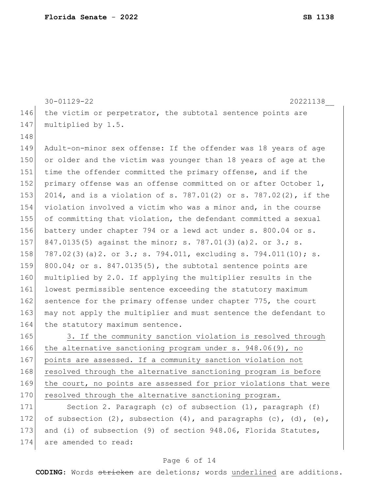|     | $30 - 01129 - 22$<br>20221138                                     |
|-----|-------------------------------------------------------------------|
| 146 | the victim or perpetrator, the subtotal sentence points are       |
| 147 | multiplied by 1.5.                                                |
| 148 |                                                                   |
| 149 | Adult-on-minor sex offense: If the offender was 18 years of age   |
| 150 | or older and the victim was younger than 18 years of age at the   |
| 151 | time the offender committed the primary offense, and if the       |
| 152 | primary offense was an offense committed on or after October 1,   |
| 153 | 2014, and is a violation of s. 787.01(2) or s. 787.02(2), if the  |
| 154 | violation involved a victim who was a minor and, in the course    |
| 155 | of committing that violation, the defendant committed a sexual    |
| 156 | battery under chapter 794 or a lewd act under s. 800.04 or s.     |
| 157 | 847.0135(5) against the minor; s. 787.01(3)(a)2. or 3.; s.        |
| 158 | 787.02(3)(a)2. or 3.; s. 794.011, excluding s. 794.011(10); s.    |
| 159 | $800.04$ ; or s. $847.0135(5)$ , the subtotal sentence points are |
| 160 | multiplied by 2.0. If applying the multiplier results in the      |
| 161 | lowest permissible sentence exceeding the statutory maximum       |
| 162 | sentence for the primary offense under chapter 775, the court     |
| 163 | may not apply the multiplier and must sentence the defendant to   |
| 164 | the statutory maximum sentence.                                   |
| 165 | 3. If the community sanction violation is resolved through        |
| 166 | the alternative sanctioning program under $s. 948.06(9)$ , no     |
| 167 | points are assessed. If a community sanction violation not        |
| 168 | resolved through the alternative sanctioning program is before    |
| 169 | the court, no points are assessed for prior violations that were  |
| 170 | resolved through the alternative sanctioning program.             |
| 171 | Section 2. Paragraph (c) of subsection (1), paragraph (f)         |

172 of subsection  $(2)$ , subsection  $(4)$ , and paragraphs  $(c)$ ,  $(d)$ ,  $(e)$ , 173 and (i) of subsection (9) of section 948.06, Florida Statutes, 174 are amended to read:

#### Page 6 of 14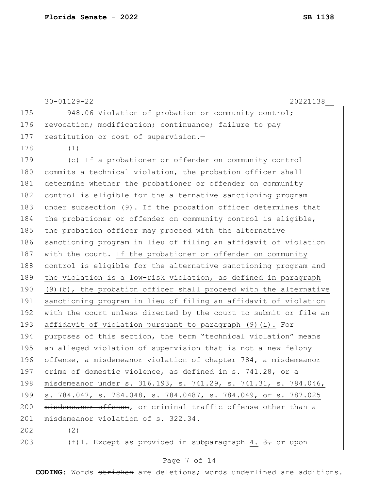|     | $30 - 01129 - 22$<br>20221138                                     |
|-----|-------------------------------------------------------------------|
| 175 | 948.06 Violation of probation or community control;               |
| 176 | revocation; modification; continuance; failure to pay             |
| 177 | restitution or cost of supervision.-                              |
| 178 | (1)                                                               |
| 179 | (c) If a probationer or offender on community control             |
| 180 | commits a technical violation, the probation officer shall        |
| 181 | determine whether the probationer or offender on community        |
| 182 | control is eligible for the alternative sanctioning program       |
| 183 | under subsection (9). If the probation officer determines that    |
| 184 | the probationer or offender on community control is eligible,     |
| 185 | the probation officer may proceed with the alternative            |
| 186 | sanctioning program in lieu of filing an affidavit of violation   |
| 187 | with the court. If the probationer or offender on community       |
| 188 | control is eligible for the alternative sanctioning program and   |
| 189 | the violation is a low-risk violation, as defined in paragraph    |
| 190 | (9) (b), the probation officer shall proceed with the alternative |
| 191 | sanctioning program in lieu of filing an affidavit of violation   |
| 192 | with the court unless directed by the court to submit or file an  |
| 193 | affidavit of violation pursuant to paragraph (9)(i). For          |
| 194 | purposes of this section, the term "technical violation" means    |
| 195 | an alleged violation of supervision that is not a new felony      |
| 196 | offense, a misdemeanor violation of chapter 784, a misdemeanor    |
| 197 | crime of domestic violence, as defined in s. 741.28, or a         |
| 198 | misdemeanor under s. 316.193, s. 741.29, s. 741.31, s. 784.046,   |
| 199 | s. 784.047, s. 784.048, s. 784.0487, s. 784.049, or s. 787.025    |
| 200 | misdemeanor offense, or criminal traffic offense other than a     |
| 201 | misdemeanor violation of s. 322.34.                               |
| 202 | (2)                                                               |
| 203 | (f)1. Except as provided in subparagraph $4.3$ . or upon          |

# Page 7 of 14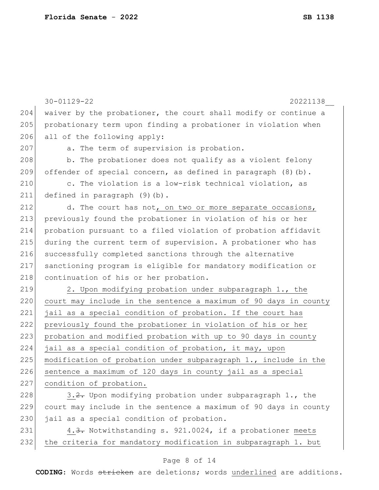|     | $30 - 01129 - 22$<br>20221138                                    |
|-----|------------------------------------------------------------------|
| 204 | waiver by the probationer, the court shall modify or continue a  |
| 205 | probationary term upon finding a probationer in violation when   |
| 206 | all of the following apply:                                      |
| 207 | a. The term of supervision is probation.                         |
| 208 | b. The probationer does not qualify as a violent felony          |
| 209 | offender of special concern, as defined in paragraph (8) (b).    |
| 210 | c. The violation is a low-risk technical violation, as           |
| 211 | defined in paragraph (9)(b).                                     |
| 212 | d. The court has not, on two or more separate occasions,         |
| 213 | previously found the probationer in violation of his or her      |
| 214 | probation pursuant to a filed violation of probation affidavit   |
| 215 | during the current term of supervision. A probationer who has    |
| 216 | successfully completed sanctions through the alternative         |
| 217 | sanctioning program is eligible for mandatory modification or    |
| 218 | continuation of his or her probation.                            |
| 219 | 2. Upon modifying probation under subparagraph 1., the           |
| 220 | court may include in the sentence a maximum of 90 days in county |
| 221 | jail as a special condition of probation. If the court has       |
| 222 | previously found the probationer in violation of his or her      |
| 223 | probation and modified probation with up to 90 days in county    |
| 224 | jail as a special condition of probation, it may, upon           |
| 225 | modification of probation under subparagraph 1., include in the  |
| 226 | sentence a maximum of 120 days in county jail as a special       |
| 227 | condition of probation.                                          |
| 228 | 3.2. Upon modifying probation under subparagraph 1., the         |
| 229 | court may include in the sentence a maximum of 90 days in county |
| 230 | jail as a special condition of probation.                        |
| 231 | 4.3. Notwithstanding s. 921.0024, if a probationer meets         |
| 232 | the criteria for mandatory modification in subparagraph 1. but   |

# Page 8 of 14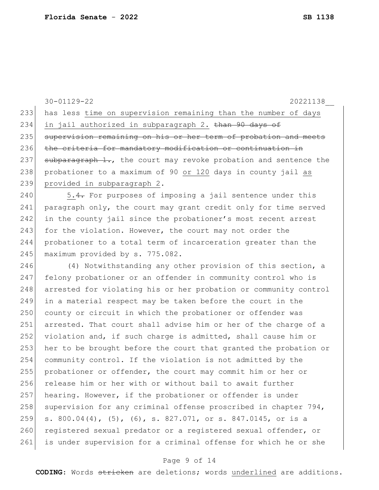30-01129-22 20221138\_\_ 233 has less time on supervision remaining than the number of days 234 in jail authorized in subparagraph 2. than 90 days of 235 supervision remaining on his or her term of probation and meets 236 the criteria for mandatory modification or continuation in 237  $\rightarrow$  subparagraph 1., the court may revoke probation and sentence the 238 probationer to a maximum of 90 or 120 days in county jail as 239 provided in subparagraph 2. 240  $\vert$  5.4. For purposes of imposing a jail sentence under this 241 paragraph only, the court may grant credit only for time served 242 in the county jail since the probationer's most recent arrest 243 for the violation. However, the court may not order the 244 probationer to a total term of incarceration greater than the 245 maximum provided by s. 775.082. 246 (4) Notwithstanding any other provision of this section, a 247 felony probationer or an offender in community control who is 248 arrested for violating his or her probation or community control 249 in a material respect may be taken before the court in the 250 county or circuit in which the probationer or offender was 251 arrested. That court shall advise him or her of the charge of a 252 violation and, if such charge is admitted, shall cause him or 253 her to be brought before the court that granted the probation or 254 community control. If the violation is not admitted by the 255 probationer or offender, the court may commit him or her or 256 release him or her with or without bail to await further 257 hearing. However, if the probationer or offender is under 258 supervision for any criminal offense proscribed in chapter  $794$ , 259 s. 800.04(4), (5), (6), s. 827.071, or s. 847.0145, or is a 260 registered sexual predator or a registered sexual offender, or 261 is under supervision for a criminal offense for which he or she

#### Page 9 of 14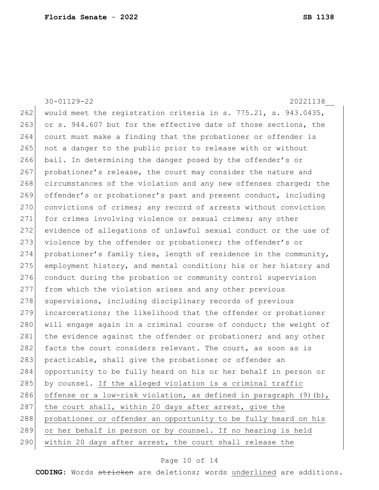30-01129-22 20221138\_\_ 262 would meet the registration criteria in s.  $775.21$ , s.  $943.0435$ , 263 or s. 944.607 but for the effective date of those sections, the 264 court must make a finding that the probationer or offender is 265 not a danger to the public prior to release with or without 266 bail. In determining the danger posed by the offender's or 267 probationer's release, the court may consider the nature and 268 circumstances of the violation and any new offenses charged; the 269 offender's or probationer's past and present conduct, including 270 convictions of crimes; any record of arrests without conviction 271 for crimes involving violence or sexual crimes; any other 272 evidence of allegations of unlawful sexual conduct or the use of 273 violence by the offender or probationer; the offender's or 274 probationer's family ties, length of residence in the community, 275 employment history, and mental condition; his or her history and 276 conduct during the probation or community control supervision 277 from which the violation arises and any other previous 278 supervisions, including disciplinary records of previous 279 incarcerations; the likelihood that the offender or probationer 280 will engage again in a criminal course of conduct; the weight of 281 the evidence against the offender or probationer; and any other 282 facts the court considers relevant. The court, as soon as is 283 practicable, shall give the probationer or offender an 284 opportunity to be fully heard on his or her behalf in person or 285 by counsel. If the alleged violation is a criminal traffic 286 offense or a low-risk violation, as defined in paragraph  $(9)$  (b), 287 the court shall, within 20 days after arrest, give the 288 probationer or offender an opportunity to be fully heard on his 289 or her behalf in person or by counsel. If no hearing is held 290 within 20 days after arrest, the court shall release the

#### Page 10 of 14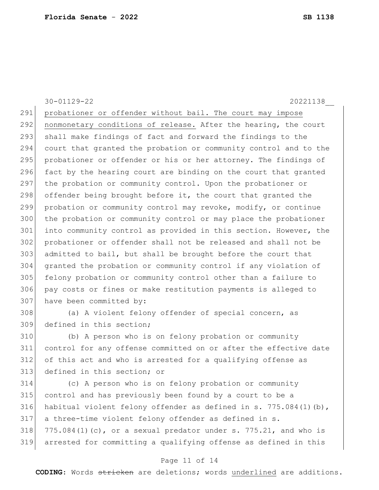30-01129-22 20221138\_\_ 291 probationer or offender without bail. The court may impose 292 nonmonetary conditions of release. After the hearing, the court 293 shall make findings of fact and forward the findings to the 294 court that granted the probation or community control and to the 295 probationer or offender or his or her attorney. The findings of 296 fact by the hearing court are binding on the court that granted 297 the probation or community control. Upon the probationer or 298 offender being brought before it, the court that granted the 299 probation or community control may revoke, modify, or continue 300 the probation or community control or may place the probationer 301 into community control as provided in this section. However, the 302 probationer or offender shall not be released and shall not be 303 admitted to bail, but shall be brought before the court that 304 granted the probation or community control if any violation of 305 felony probation or community control other than a failure to 306 pay costs or fines or make restitution payments is alleged to 307 have been committed by: 308 (a) A violent felony offender of special concern, as 309 defined in this section; 310 (b) A person who is on felony probation or community 311 control for any offense committed on or after the effective date 312 of this act and who is arrested for a qualifying offense as

313 defined in this section; or

 (c) A person who is on felony probation or community control and has previously been found by a court to be a 316 habitual violent felony offender as defined in s. 775.084(1)(b), a three-time violent felony offender as defined in s.  $775.084(1)(c)$ , or a sexual predator under s. 775.21, and who is arrested for committing a qualifying offense as defined in this

#### Page 11 of 14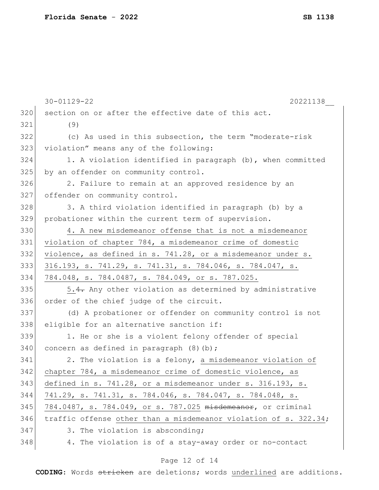|     | $30 - 01129 - 22$<br>20221138                                    |
|-----|------------------------------------------------------------------|
| 320 | section on or after the effective date of this act.              |
| 321 | (9)                                                              |
| 322 | (c) As used in this subsection, the term "moderate-risk          |
| 323 | violation" means any of the following:                           |
| 324 | 1. A violation identified in paragraph (b), when committed       |
| 325 | by an offender on community control.                             |
| 326 | 2. Failure to remain at an approved residence by an              |
| 327 | offender on community control.                                   |
| 328 | 3. A third violation identified in paragraph (b) by a            |
| 329 | probationer within the current term of supervision.              |
| 330 | 4. A new misdemeanor offense that is not a misdemeanor           |
| 331 | violation of chapter 784, a misdemeanor crime of domestic        |
| 332 | violence, as defined in s. 741.28, or a misdemeanor under s.     |
| 333 | 316.193, s. 741.29, s. 741.31, s. 784.046, s. 784.047, s.        |
| 334 | 784.048, s. 784.0487, s. 784.049, or s. 787.025.                 |
| 335 | 5.4. Any other violation as determined by administrative         |
| 336 | order of the chief judge of the circuit.                         |
| 337 | (d) A probationer or offender on community control is not        |
| 338 | eligible for an alternative sanction if:                         |
| 339 | 1. He or she is a violent felony offender of special             |
| 340 | concern as defined in paragraph $(8)$ (b);                       |
| 341 | 2. The violation is a felony, a misdemeanor violation of         |
| 342 | chapter 784, a misdemeanor crime of domestic violence, as        |
| 343 | defined in s. 741.28, or a misdemeanor under s. 316.193, s.      |
| 344 | 741.29, s. 741.31, s. 784.046, s. 784.047, s. 784.048, s.        |
| 345 | 784.0487, s. 784.049, or s. 787.025 misdemeanor, or criminal     |
| 346 | traffic offense other than a misdemeanor violation of s. 322.34; |
| 347 | 3. The violation is absconding;                                  |
| 348 | 4. The violation is of a stay-away order or no-contact           |
|     |                                                                  |

# Page 12 of 14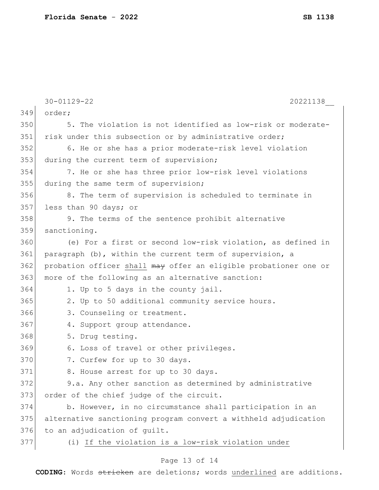|     | $30 - 01129 - 22$<br>20221138                                    |
|-----|------------------------------------------------------------------|
| 349 | order;                                                           |
| 350 | 5. The violation is not identified as low-risk or moderate-      |
| 351 | risk under this subsection or by administrative order;           |
| 352 | 6. He or she has a prior moderate-risk level violation           |
| 353 | during the current term of supervision;                          |
| 354 | 7. He or she has three prior low-risk level violations           |
| 355 | during the same term of supervision;                             |
| 356 | 8. The term of supervision is scheduled to terminate in          |
| 357 | less than 90 days; or                                            |
| 358 | 9. The terms of the sentence prohibit alternative                |
| 359 | sanctioning.                                                     |
| 360 | (e) For a first or second low-risk violation, as defined in      |
| 361 | paragraph (b), within the current term of supervision, a         |
| 362 | probation officer shall may offer an eligible probationer one or |
| 363 | more of the following as an alternative sanction:                |
| 364 | 1. Up to 5 days in the county jail.                              |
| 365 | 2. Up to 50 additional community service hours.                  |
| 366 | 3. Counseling or treatment.                                      |
| 367 | 4. Support group attendance.                                     |
| 368 | 5. Drug testing.                                                 |
| 369 | 6. Loss of travel or other privileges.                           |
| 370 | 7. Curfew for up to 30 days.                                     |
| 371 | 8. House arrest for up to 30 days.                               |
| 372 | 9.a. Any other sanction as determined by administrative          |
| 373 | order of the chief judge of the circuit.                         |
| 374 | b. However, in no circumstance shall participation in an         |
| 375 | alternative sanctioning program convert a withheld adjudication  |
| 376 | to an adjudication of guilt.                                     |
| 377 | (i) If the violation is a low-risk violation under               |
|     |                                                                  |

# Page 13 of 14